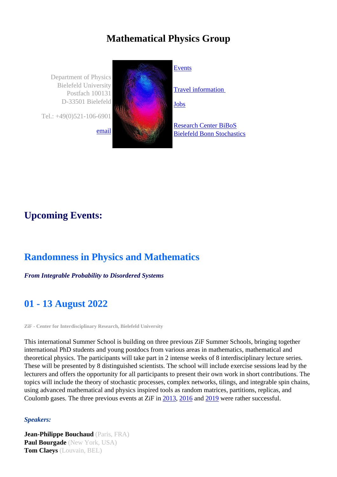## **Mathematical Physics Group**

Department of Physics Bielefeld University Postfach 100131 D-33501 Bielefeld Tel.: +49(0)521-106-6901



#### **Events**

[Travel](https://www2.physik.uni-bielefeld.de/568.html) information

Jobs

Research Center BiBoS [Biele](https://www2.physik.uni-bielefeld.de/1387.html)feld Bonn Stochastics

# **Upcoming Events:**

## **Randomness in Physics and Mathematics**

*From Integrable Probability to Disordered Systems*

# **01 - 13 August 2022**

**ZiF - Center for Interdisciplinary Research, Bielefeld University**

This international Summer School is building on three previous ZiF Summer Schools, bringing together international PhD students and young postdocs from various areas in mathematics, mathematical and theoretical physics. The participants will take part in 2 intense weeks of 8 interdisciplinary lecture series. These will be presented by 8 distinguished scientists. The school will include exercise sessions lead by the lecturers and offers the opportunity for all participants to present their own work in short contributions. The topics will include the theory of stochastic processes, complex networks, tilings, and integrable spin chains, using advanced mathematical and physics inspired tools as random matrices, partitions, replicas, and Coulomb gases. The three previous events at ZiF in 2013, 2016 and 2019 were rather successful.

#### *Speakers:*

**Jean-Philippe Bouchaud** (Paris, FRA) **Paul Bourgade** (New York, USA) **Tom Claeys** (Louvain, BEL)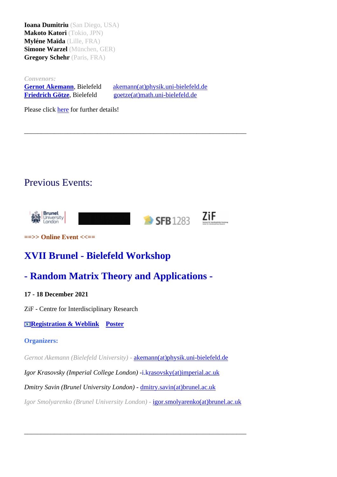**Makoto Katori** (Tokio, JPN) **Myléne Maïda** (Lille, FRA) **Simone Warzel** (München, GER) **Gregory Schehr** (Paris, FRA)

*Convenors:*

**Gernot Akemann**, Bielefeld akemann(at)physik.uni-bielefeld.de **Friedrich Götze**, Bielefeld goetze(at)math.uni-bielefeld.de

[Please](https://www2.physik.uni-bielefeld.de/matphys.html) [cl](https://www2.physik.uni-bielefeld.de/matphys.html)ick [here](https://www2.physik.uni-bielefeld.de/matphys.html) for further detai[ls!](javascript:linkTo_UnCryptMailto()

## Previous Events:



\_\_\_\_\_\_\_\_\_[\\_\\_\\_\\_\\_](https://www2.physik.uni-bielefeld.de/randomness4.html)\_\_\_\_\_\_\_\_\_\_\_\_\_\_\_\_\_\_\_\_\_\_\_\_\_\_\_\_\_\_\_\_\_\_\_\_\_\_\_\_\_\_\_\_\_\_\_\_\_\_\_\_\_

**==>> Online Event <<==**

# **XVII Brunel - Bielefeld Workshop**

## **- Random Matrix Theory and Applications -**

#### **17 - 18 December 2021**

ZiF - Centre for Interdisciplinary Research

**Registration & Weblink Poster**

#### **Organizers:**

*[Ge](http://www2.physik.uni-bielefeld.de/brunel-bielefeld-workshop2021.html)rnot [Akemann](http://www2.physik.uni-bielefeld.de/brunel-bielefeld-workshop2021.html) [\(Bielefeld](http://www2.physik.uni-bielefeld.de/brunel-bielefeld-workshop2021.html) U[niversity](https://www2.physik.uni-bielefeld.de/fileadmin/user_upload/Mat_Phys/Workshops/XVII_Brunel-BI-2021/20210713-Poster.pdf))* - akemann(at)physik.uni-bielefeld.de

*Igor Krasovsky (Imperial College London) -*i.krasovsky(at)imperial.ac.uk

*Dmitry Savin (Brunel University London) -* [dmitry.savin\(at\)brunel.ac.uk](https://www2.physik.uni-bielefeld.de/mathphys.html?&L=1%253FCFID%253D12512587)

*Igor Smolyarenko (Brunel University London) -* [igor.smolyarenko\(at\)brun](https://www2.physik.uni-bielefeld.de/mathphys.html?&L=1%253FCFID%253D12512587)el.ac.uk

\_\_\_\_\_\_\_\_\_\_\_\_\_\_\_\_\_\_\_\_\_\_\_\_\_\_\_\_\_\_\_\_\_\_\_\_\_\_[\\_\\_\\_\\_\\_\\_\\_\\_\\_\\_\\_\\_\\_\\_\\_\\_\\_\\_\\_\\_\\_\\_\\_\\_\\_\\_\\_\\_](https://www2.physik.uni-bielefeld.de/mathphys.html?&L=1%253FCFID%253D12512587)\_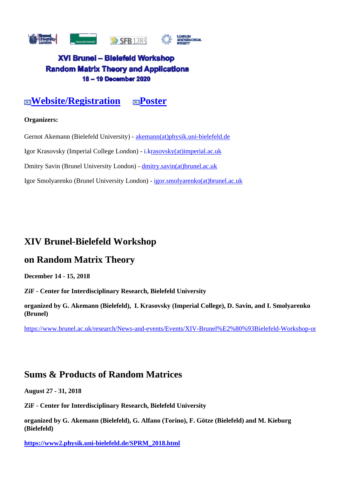

#### XVI Brunei - Bielefeld Workshop **Random Matrix Theory and Applications** 18 - 19 December 2020

**EXECUTE:** EXECUTE: EXECUTE: EXECUTE: EXECUTE: EXECUTE: EXECUTE: EXECUTE: EXECUTE: EXECUTE: EXECUTE: EXECUTE: EXECUTE: EXECUTE: EXECUTE: EXECUTE: EXECUTE: EXECUTE: EXECUTE: EXECUTE: EXECUTE: EXECUTE: EXECUTE: EXECUTE: EXEC

#### **Organizers:**

Gernot Akemann [\(Bielefeld](https://www.brunel.ac.uk/mathematics/research-and-phd-programmes/Random-Matrix-Theory-Workshops/RMT-2020) University) - a[kemann\(at\)](https://www.brunel.ac.uk/mathematics/research-and-phd-programmes/Random-Matrix-Theory-Workshops/Posters/oldposters/poster2020.pdf)physik.uni-bielefeld.de

Igor Krasovsky (Imperial College London) - i.krasovsky(at)imperial.ac.uk

Dmitry Savin (Brunel University London) - [dmitry.savin\(at\)brunel.ac.uk](javascript:linkTo_UnCryptMailto()

Igor Smolyarenko (Brunel University London) - [igor.smolyarenko\(at\)brun](javascript:linkTo_UnCryptMailto()el.ac.uk

### **XIV Brunel-Bielefeld Workshop**

#### **on Random Matrix Theory**

**December 14 - 15, 2018**

**ZiF - Center for Interdisciplinary Research, Bielefeld University**

**organized by G. Akemann (Bielefeld), I. Krasovsky (Imperial College), D. Savin, and I. Smolyarenko (Brunel)**

https://www.brunel.ac.uk/research/News-and-events/Events/XIV-Brunel%E2%80%93Bielefeld-Workshop-on-

#### **Sums & Products of Random Matrices**

**August 27 - 31, 2018**

**ZiF - Center for Interdisciplinary Research, Bielefeld University**

**organized by G. Akemann (Bielefeld), G. Alfano (Torino), F. Götze (Bielefeld) and M. Kieburg (Bielefeld)**

**https://www2.physik.uni-bielefeld.de/SPRM\_2018.html**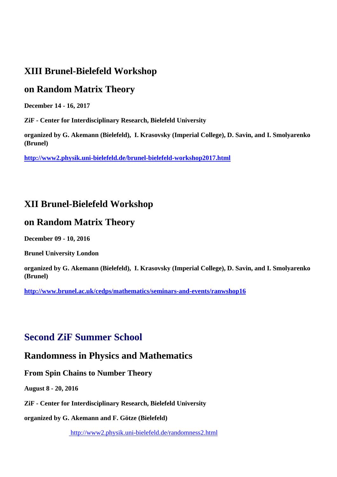## **XIII Brunel-Bielefeld Workshop**

### **on Random Matrix Theory**

**December 14 - 16, 2017**

**ZiF - Center for Interdisciplinary Research, Bielefeld University**

**organized by G. Akemann (Bielefeld), I. Krasovsky (Imperial College), D. Savin, and I. Smolyarenko (Brunel)**

**http://www2.physik.uni-bielefeld.de/brunel-bielefeld-workshop2017.html**

## **XII Brunel-Bielefeld Workshop**

### **on Random Matrix Theory**

**December 09 - 10, 2016**

**Brunel University London**

**organized by G. Akemann (Bielefeld), I. Krasovsky (Imperial College), D. Savin, and I. Smolyarenko (Brunel)**

**http://www.brunel.ac.uk/cedps/mathematics/seminars-and-events/ranwshop16**

## **Second ZiF Summer School**

## **Randomness in Physics and Mathematics**

**From Spin Chains to Number Theory**

**August 8 - 20, 2016**

**ZiF - Center for Interdisciplinary Research, Bielefeld University**

**organized by G. Akemann and F. Götze (Bielefeld)**

http://www2.physik.uni-bielefeld.de/randomness2.html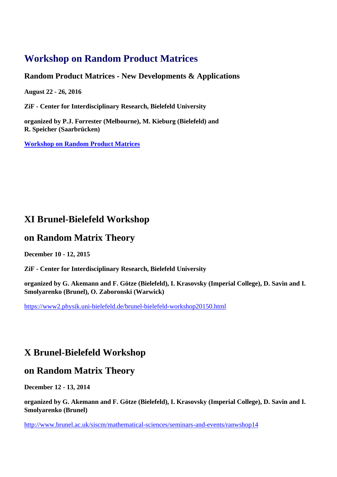## **Workshop on Random Product Matrices**

#### **Random Product Matrices - New Developments & Applications**

**August 22 - 26, 2016**

**ZiF - Center for Interdisciplinary Research, Bielefeld University**

**organized by P.J. Forrester (Melbourne), M. Kieburg (Bielefeld) and R. Speicher (Saarbrücken)**

**Workshop on Random Product Matrices**

## **XI Brunel-Bielefeld Workshop**

### **on Random Matrix Theory**

**December 10 - 12, 2015**

**ZiF - Center for Interdisciplinary Research, Bielefeld University**

**organized by G. Akemann and F. Götze (Bielefeld), I. Krasovsky (Imperial College), D. Savin and I. Smolyarenko (Brunel), O. Zaboronski (Warwick)**

https://www2.physik.uni-bielefeld.de/brunel-bielefeld-workshop20150.html

## **X Brunel-Bielefeld Workshop**

#### **on Random Matrix Theory**

**December 12 - 13, 2014**

**organized by G. Akemann and F. Götze (Bielefeld), I. Krasovsky (Imperial College), D. Savin and I. Smolyarenko (Brunel)**

http://www.brunel.ac.uk/siscm/mathematical-sciences/seminars-and-events/ranwshop14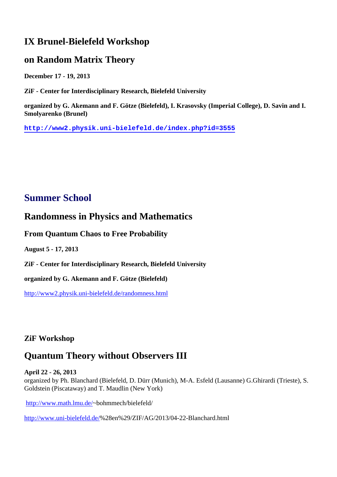### **IX Brunel-Bielefeld Workshop**

### **on Random Matrix Theory**

**December 17 - 19, 2013**

**ZiF - Center for Interdisciplinary Research, Bielefeld University**

**organized by G. Akemann and F. Götze (Bielefeld), I. Krasovsky (Imperial College), D. Savin and I. Smolyarenko (Brunel)**

**http://www2.physik.uni-bielefeld.de/index.php?id=3555**

## **Summer School**

### **Randomness in Physics and Mathematics**

#### **From Quantum Chaos to Free Probability**

**August 5 - 17, 2013**

**ZiF - Center for Interdisciplinary Research, Bielefeld University**

**organized by G. Akemann and F. Götze (Bielefeld)**

http://www2.physik.uni-bielefeld.de/randomness.html

#### **ZiF Workshop**

### **Quantum Theory without Observers III**

#### **April 22 - 26, 2013**

organized by Ph. Blanchard (Bielefeld, D. Dürr (Munich), M-A. Esfeld (Lausanne) G.Ghirardi (Trieste), S. Goldstein (Piscataway) and T. Maudlin (New York)

http://www.math.lmu.de/~bohmmech/bielefeld/

http://www.uni-bielefeld.de/%28en%29/ZIF/AG/2013/04-22-Blanchard.html